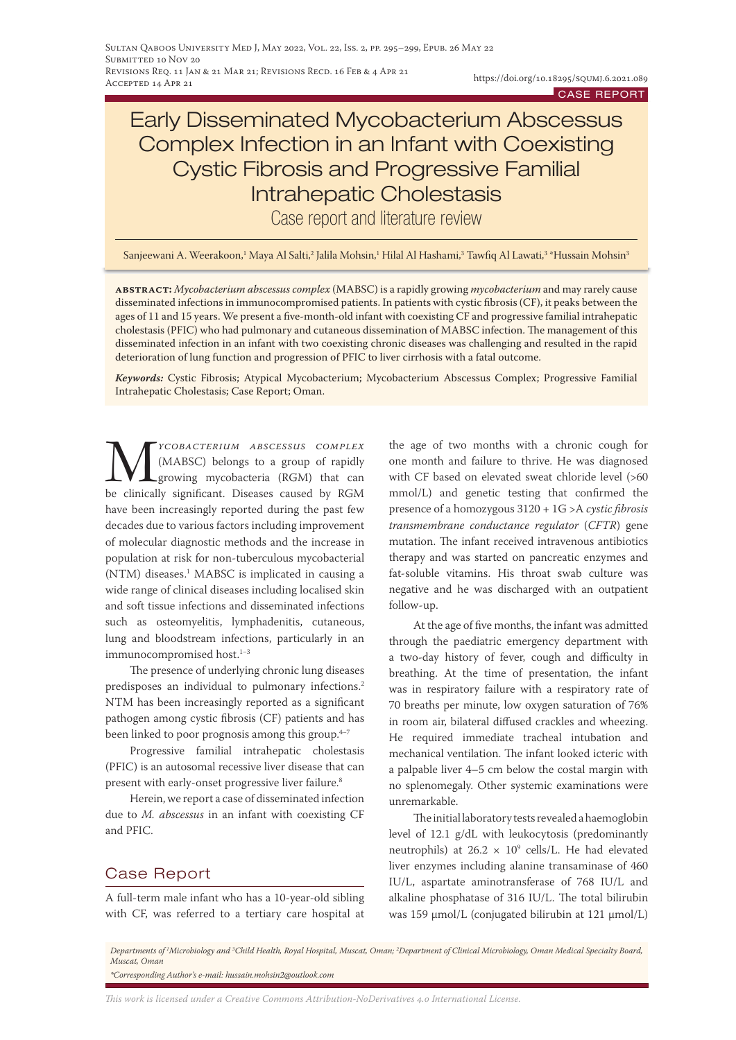# Early Disseminated Mycobacterium Abscessus Complex Infection in an Infant with Coexisting Cystic Fibrosis and Progressive Familial Intrahepatic Cholestasis

Case report and literature review

Sanjeewani A. Weerakoon,<sup>1</sup> Maya Al Salti,<sup>2</sup> Jalila Mohsin,<sup>1</sup> Hilal Al Hashami,<sup>3</sup> Tawfiq Al Lawati,<sup>3</sup> \*Hussain Mohsin<sup>3</sup>

**abstract:** *Mycobacterium abscessus complex* (MABSC) is a rapidly growing *mycobacterium* and may rarely cause disseminated infections in immunocompromised patients. In patients with cystic fibrosis (CF), it peaks between the ages of 11 and 15 years. We present a five-month-old infant with coexisting CF and progressive familial intrahepatic cholestasis (PFIC) who had pulmonary and cutaneous dissemination of MABSC infection. The management of this disseminated infection in an infant with two coexisting chronic diseases was challenging and resulted in the rapid deterioration of lung function and progression of PFIC to liver cirrhosis with a fatal outcome.

*Keywords:* Cystic Fibrosis; Atypical Mycobacterium; Mycobacterium Abscessus Complex; Progressive Familial Intrahepatic Cholestasis; Case Report; Oman.

**M**<sup>*YCOBACTERIUM ABSCESSUS COMPLEX*<br>(MABSC) belongs to a group of rapidly<br>be clinically significant. Diseases caused by RGM</sup> (MABSC) belongs to a group of rapidly growing mycobacteria (RGM) that can be clinically significant. Diseases caused by RGM have been increasingly reported during the past few decades due to various factors including improvement of molecular diagnostic methods and the increase in population at risk for non-tuberculous mycobacterial (NTM) diseases.<sup>1</sup> MABSC is implicated in causing a wide range of clinical diseases including localised skin and soft tissue infections and disseminated infections such as osteomyelitis, lymphadenitis, cutaneous, lung and bloodstream infections, particularly in an immunocompromised host.1**–**<sup>3</sup>

The presence of underlying chronic lung diseases predisposes an individual to pulmonary infections.<sup>2</sup> NTM has been increasingly reported as a significant pathogen among cystic fibrosis (CF) patients and has been linked to poor prognosis among this group.4**–**<sup>7</sup>

Progressive familial intrahepatic cholestasis (PFIC) is an autosomal recessive liver disease that can present with early-onset progressive liver failure.<sup>8</sup>

Herein, we report a case of disseminated infection due to *M. abscessus* in an infant with coexisting CF and PFIC.

## Case Report

A full-term male infant who has a 10-year-old sibling with CF, was referred to a tertiary care hospital at the age of two months with a chronic cough for one month and failure to thrive. He was diagnosed with CF based on elevated sweat chloride level (>60 mmol/L) and genetic testing that confirmed the presence of a homozygous 3120 + 1G >A *cystic fibrosis transmembrane conductance regulator* (*CFTR*) gene mutation. The infant received intravenous antibiotics therapy and was started on pancreatic enzymes and fat-soluble vitamins. His throat swab culture was negative and he was discharged with an outpatient follow-up.

At the age of five months, the infant was admitted through the paediatric emergency department with a two-day history of fever, cough and difficulty in breathing. At the time of presentation, the infant was in respiratory failure with a respiratory rate of 70 breaths per minute, low oxygen saturation of 76% in room air, bilateral diffused crackles and wheezing. He required immediate tracheal intubation and mechanical ventilation. The infant looked icteric with a palpable liver 4–5 cm below the costal margin with no splenomegaly. Other systemic examinations were unremarkable.

The initial laboratory tests revealed a haemoglobin level of 12.1 g/dL with leukocytosis (predominantly neutrophils) at  $26.2 \times 10^9$  cells/L. He had elevated liver enzymes including alanine transaminase of 460 IU/L, aspartate aminotransferase of 768 IU/L and alkaline phosphatase of 316 IU/L. The total bilirubin was 159 µmol/L (conjugated bilirubin at 121 μmol/L)

*Departments of 1 Microbiology and 3 Child Health, Royal Hospital, Muscat, Oman; 2 Department of Clinical Microbiology, Oman Medical Specialty Board, Muscat, Oman \*Corresponding Author's e-mail: hussain.mohsin2@outlook.com*

*This work is licensed under a [Creative Commons Attribution-NoDerivatives 4.0 International License.](https://creativecommons.org/licenses/by-nd/4.0/)*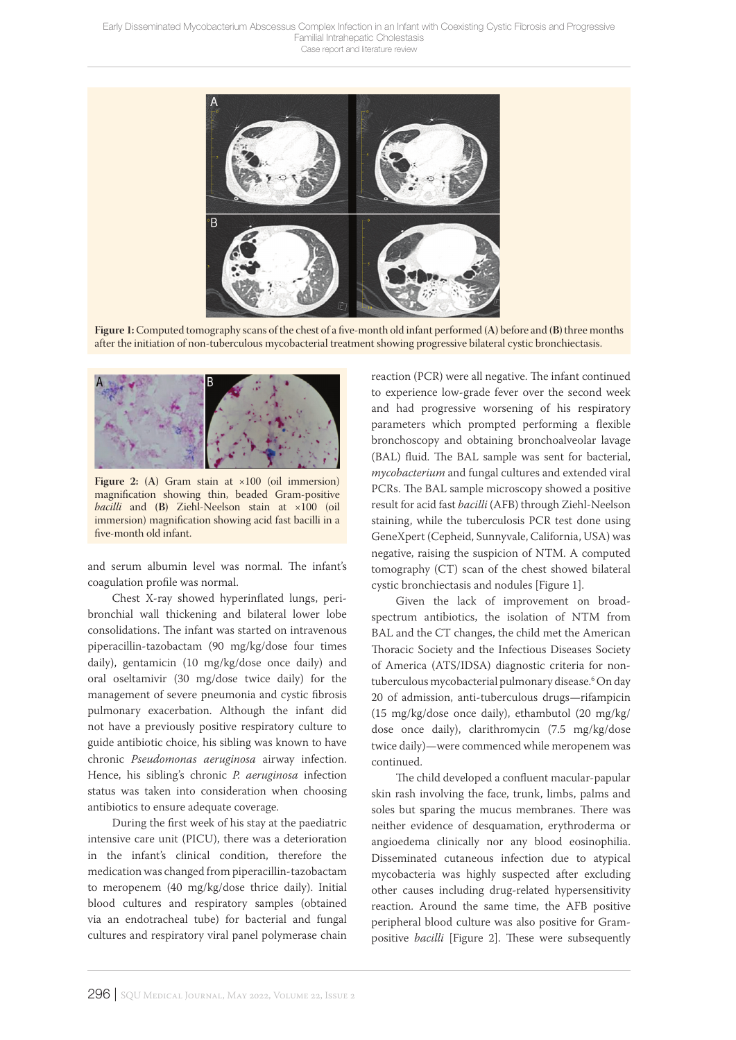Early Disseminated Mycobacterium Abscessus Complex Infection in an Infant with Coexisting Cystic Fibrosis and Progressive Familial Intrahepatic Cholestasis Case report and literature review



**Figure 1:** Computed tomography scans of the chest of a five-month old infant performed **(A)** before and **(B)** three months after the initiation of non-tuberculous mycobacterial treatment showing progressive bilateral cystic bronchiectasis.



**Figure 2: (A)** Gram stain at ×100 (oil immersion) magnification showing thin, beaded Gram-positive *bacilli* and **(B)** Ziehl-Neelson stain at ×100 (oil immersion) magnification showing acid fast bacilli in a five-month old infant.

and serum albumin level was normal. The infant's coagulation profile was normal.

Chest X-ray showed hyperinflated lungs, peribronchial wall thickening and bilateral lower lobe consolidations. The infant was started on intravenous piperacillin-tazobactam (90 mg/kg/dose four times daily), gentamicin (10 mg/kg/dose once daily) and oral oseltamivir (30 mg/dose twice daily) for the management of severe pneumonia and cystic fibrosis pulmonary exacerbation. Although the infant did not have a previously positive respiratory culture to guide antibiotic choice, his sibling was known to have chronic *Pseudomonas aeruginosa* airway infection. Hence, his sibling's chronic *P. aeruginosa* infection status was taken into consideration when choosing antibiotics to ensure adequate coverage.

During the first week of his stay at the paediatric intensive care unit (PICU), there was a deterioration in the infant's clinical condition, therefore the medication was changed from piperacillin-tazobactam to meropenem (40 mg/kg/dose thrice daily). Initial blood cultures and respiratory samples (obtained via an endotracheal tube) for bacterial and fungal cultures and respiratory viral panel polymerase chain

reaction (PCR) were all negative. The infant continued to experience low-grade fever over the second week and had progressive worsening of his respiratory parameters which prompted performing a flexible bronchoscopy and obtaining bronchoalveolar lavage (BAL) fluid. The BAL sample was sent for bacterial, *mycobacterium* and fungal cultures and extended viral PCRs. The BAL sample microscopy showed a positive result for acid fast *bacilli* (AFB) through Ziehl-Neelson staining, while the tuberculosis PCR test done using GeneXpert (Cepheid, Sunnyvale, California, USA) was negative, raising the suspicion of NTM. A computed tomography (CT) scan of the chest showed bilateral cystic bronchiectasis and nodules [Figure 1].

Given the lack of improvement on broadspectrum antibiotics, the isolation of NTM from BAL and the CT changes, the child met the American Thoracic Society and the Infectious Diseases Society of America (ATS/IDSA) diagnostic criteria for nontuberculous mycobacterial pulmonary disease.6 On day 20 of admission, anti-tuberculous drugs—rifampicin (15 mg/kg/dose once daily), ethambutol (20 mg/kg/ dose once daily), clarithromycin (7.5 mg/kg/dose twice daily)—were commenced while meropenem was continued.

The child developed a confluent macular-papular skin rash involving the face, trunk, limbs, palms and soles but sparing the mucus membranes. There was neither evidence of desquamation, erythroderma or angioedema clinically nor any blood eosinophilia. Disseminated cutaneous infection due to atypical mycobacteria was highly suspected after excluding other causes including drug-related hypersensitivity reaction. Around the same time, the AFB positive peripheral blood culture was also positive for Grampositive *bacilli* [Figure 2]. These were subsequently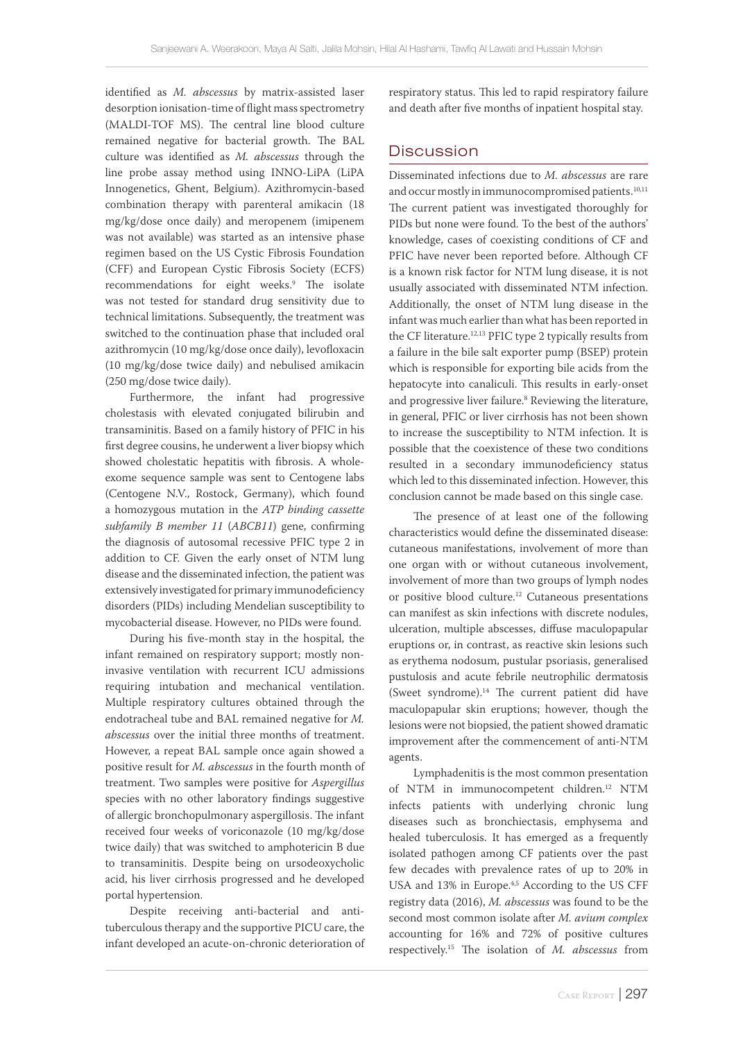identified as *M. abscessus* by matrix-assisted laser desorption ionisation-time of flight mass spectrometry (MALDI-TOF MS). The central line blood culture remained negative for bacterial growth. The BAL culture was identified as *M. abscessus* through the line probe assay method using INNO-LiPA (LiPA Innogenetics, Ghent, Belgium). Azithromycin-based combination therapy with parenteral amikacin (18 mg/kg/dose once daily) and meropenem (imipenem was not available) was started as an intensive phase regimen based on the US Cystic Fibrosis Foundation (CFF) and European Cystic Fibrosis Society (ECFS) recommendations for eight weeks.<sup>9</sup> The isolate was not tested for standard drug sensitivity due to technical limitations. Subsequently, the treatment was switched to the continuation phase that included oral azithromycin (10 mg/kg/dose once daily), levofloxacin (10 mg/kg/dose twice daily) and nebulised amikacin (250 mg/dose twice daily).

Furthermore, the infant had progressive cholestasis with elevated conjugated bilirubin and transaminitis. Based on a family history of PFIC in his first degree cousins, he underwent a liver biopsy which showed cholestatic hepatitis with fibrosis. A wholeexome sequence sample was sent to Centogene labs (Centogene N.V., Rostock, Germany), which found a homozygous mutation in the *ATP binding cassette subfamily B member 11* (*ABCB11*) gene, confirming the diagnosis of autosomal recessive PFIC type 2 in addition to CF. Given the early onset of NTM lung disease and the disseminated infection, the patient was extensively investigated for primary immunodeficiency disorders (PIDs) including Mendelian susceptibility to mycobacterial disease. However, no PIDs were found.

During his five-month stay in the hospital, the infant remained on respiratory support; mostly noninvasive ventilation with recurrent ICU admissions requiring intubation and mechanical ventilation. Multiple respiratory cultures obtained through the endotracheal tube and BAL remained negative for *M. abscessus* over the initial three months of treatment. However, a repeat BAL sample once again showed a positive result for *M. abscessus* in the fourth month of treatment. Two samples were positive for *Aspergillus* species with no other laboratory findings suggestive of allergic bronchopulmonary aspergillosis. The infant received four weeks of voriconazole (10 mg/kg/dose twice daily) that was switched to amphotericin B due to transaminitis. Despite being on ursodeoxycholic acid, his liver cirrhosis progressed and he developed portal hypertension.

Despite receiving anti-bacterial and antituberculous therapy and the supportive PICU care, the infant developed an acute-on-chronic deterioration of respiratory status. This led to rapid respiratory failure and death after five months of inpatient hospital stay.

#### Discussion

Disseminated infections due to *M. abscessus* are rare and occur mostly in immunocompromised patients.<sup>10,11</sup> The current patient was investigated thoroughly for PIDs but none were found. To the best of the authors' knowledge, cases of coexisting conditions of CF and PFIC have never been reported before. Although CF is a known risk factor for NTM lung disease, it is not usually associated with disseminated NTM infection. Additionally, the onset of NTM lung disease in the infant was much earlier than what has been reported in the CF literature.<sup>12,13</sup> PFIC type 2 typically results from a failure in the bile salt exporter pump (BSEP) protein which is responsible for exporting bile acids from the hepatocyte into canaliculi. This results in early-onset and progressive liver failure.8 Reviewing the literature, in general, PFIC or liver cirrhosis has not been shown to increase the susceptibility to NTM infection. It is possible that the coexistence of these two conditions resulted in a secondary immunodeficiency status which led to this disseminated infection. However, this conclusion cannot be made based on this single case.

The presence of at least one of the following characteristics would define the disseminated disease: cutaneous manifestations, involvement of more than one organ with or without cutaneous involvement, involvement of more than two groups of lymph nodes or positive blood culture.12 Cutaneous presentations can manifest as skin infections with discrete nodules, ulceration, multiple abscesses, diffuse maculopapular eruptions or, in contrast, as reactive skin lesions such as erythema nodosum, pustular psoriasis, generalised pustulosis and acute febrile neutrophilic dermatosis (Sweet syndrome).14 The current patient did have maculopapular skin eruptions; however, though the lesions were not biopsied, the patient showed dramatic improvement after the commencement of anti-NTM agents.

Lymphadenitis is the most common presentation of NTM in immunocompetent children.12 NTM infects patients with underlying chronic lung diseases such as bronchiectasis, emphysema and healed tuberculosis. It has emerged as a frequently isolated pathogen among CF patients over the past few decades with prevalence rates of up to 20% in USA and 13% in Europe.<sup>4,5</sup> According to the US CFF registry data (2016), *M. abscessus* was found to be the second most common isolate after *M. avium complex* accounting for 16% and 72% of positive cultures respectively.15 The isolation of *M. abscessus* from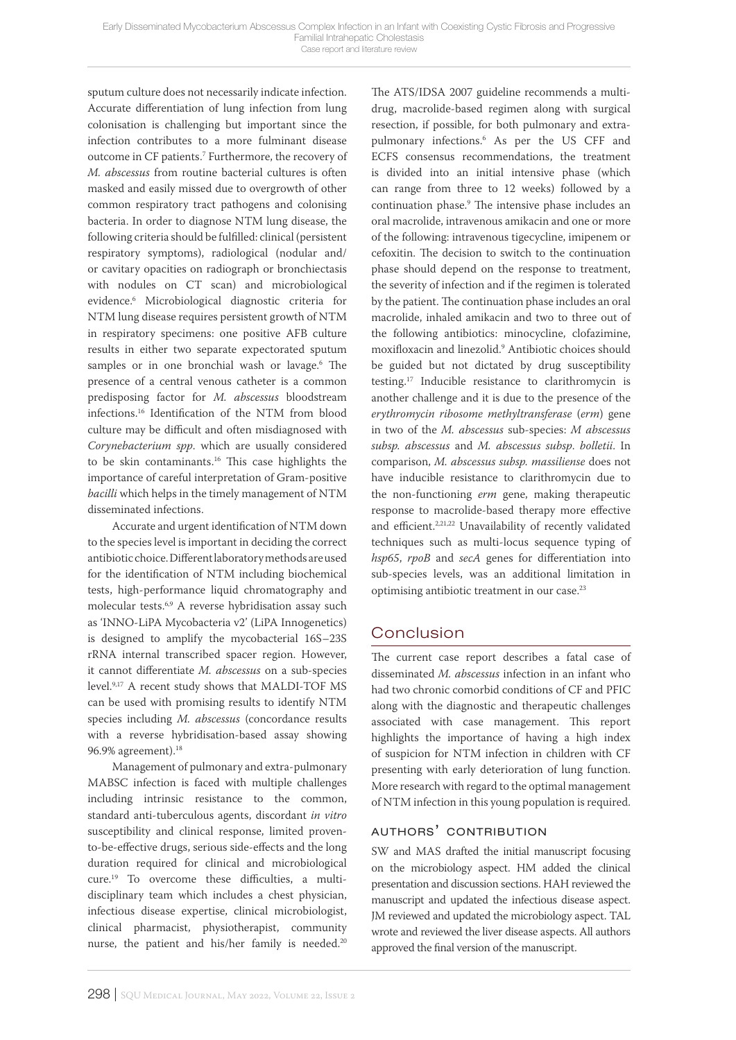sputum culture does not necessarily indicate infection. Accurate differentiation of lung infection from lung colonisation is challenging but important since the infection contributes to a more fulminant disease outcome in CF patients.7 Furthermore, the recovery of *M. abscessus* from routine bacterial cultures is often masked and easily missed due to overgrowth of other common respiratory tract pathogens and colonising bacteria. In order to diagnose NTM lung disease, the following criteria should be fulfilled: clinical (persistent respiratory symptoms), radiological (nodular and/ or cavitary opacities on radiograph or bronchiectasis with nodules on CT scan) and microbiological evidence.6 Microbiological diagnostic criteria for NTM lung disease requires persistent growth of NTM in respiratory specimens: one positive AFB culture results in either two separate expectorated sputum samples or in one bronchial wash or lavage.<sup>6</sup> The presence of a central venous catheter is a common predisposing factor for *M. abscessus* bloodstream infections.16 Identification of the NTM from blood culture may be difficult and often misdiagnosed with *Corynebacterium spp*. which are usually considered to be skin contaminants.16 This case highlights the importance of careful interpretation of Gram-positive *bacilli* which helps in the timely management of NTM disseminated infections.

Accurate and urgent identification of NTM down to the species level is important in deciding the correct antibiotic choice. Different laboratory methods are used for the identification of NTM including biochemical tests, high-performance liquid chromatography and molecular tests.6,9 A reverse hybridisation assay such as 'INNO-LiPA Mycobacteria v2' (LiPA Innogenetics) is designed to amplify the mycobacterial 16S–23S rRNA internal transcribed spacer region. However, it cannot differentiate *M. abscessus* on a sub-species level.<sup>9,17</sup> A recent study shows that MALDI-TOF MS can be used with promising results to identify NTM species including *M. abscessus* (concordance results with a reverse hybridisation-based assay showing 96.9% agreement).18

Management of pulmonary and extra-pulmonary MABSC infection is faced with multiple challenges including intrinsic resistance to the common, standard anti-tuberculous agents, discordant *in vitro* susceptibility and clinical response, limited provento-be-effective drugs, serious side-effects and the long duration required for clinical and microbiological cure.19 To overcome these difficulties, a multidisciplinary team which includes a chest physician, infectious disease expertise, clinical microbiologist, clinical pharmacist, physiotherapist, community nurse, the patient and his/her family is needed.<sup>20</sup>

The ATS/IDSA 2007 guideline recommends a multidrug, macrolide-based regimen along with surgical resection, if possible, for both pulmonary and extrapulmonary infections.6 As per the US CFF and ECFS consensus recommendations, the treatment is divided into an initial intensive phase (which can range from three to 12 weeks) followed by a continuation phase.9 The intensive phase includes an oral macrolide, intravenous amikacin and one or more of the following: intravenous tigecycline, imipenem or cefoxitin. The decision to switch to the continuation phase should depend on the response to treatment, the severity of infection and if the regimen is tolerated by the patient. The continuation phase includes an oral macrolide, inhaled amikacin and two to three out of the following antibiotics: minocycline, clofazimine, moxifloxacin and linezolid.9 Antibiotic choices should be guided but not dictated by drug susceptibility testing.17 Inducible resistance to clarithromycin is another challenge and it is due to the presence of the *erythromycin ribosome methyltransferase* (*erm*) gene in two of the *M. abscessus* sub-species: *M abscessus subsp. abscessus* and *M. abscessus subsp*. *bolletii*. In comparison, *M. abscessus subsp. massiliense* does not have inducible resistance to clarithromycin due to the non-functioning *erm* gene, making therapeutic response to macrolide-based therapy more effective and efficient.<sup>2,21,22</sup> Unavailability of recently validated techniques such as multi-locus sequence typing of *hsp65*, *rpoB* and *secA* genes for differentiation into sub-species levels, was an additional limitation in optimising antibiotic treatment in our case.<sup>23</sup>

## Conclusion

The current case report describes a fatal case of disseminated *M. abscessus* infection in an infant who had two chronic comorbid conditions of CF and PFIC along with the diagnostic and therapeutic challenges associated with case management. This report highlights the importance of having a high index of suspicion for NTM infection in children with CF presenting with early deterioration of lung function. More research with regard to the optimal management of NTM infection in this young population is required.

#### authors' contribution

SW and MAS drafted the initial manuscript focusing on the microbiology aspect. HM added the clinical presentation and discussion sections. HAH reviewed the manuscript and updated the infectious disease aspect. JM reviewed and updated the microbiology aspect. TAL wrote and reviewed the liver disease aspects. All authors approved the final version of the manuscript.